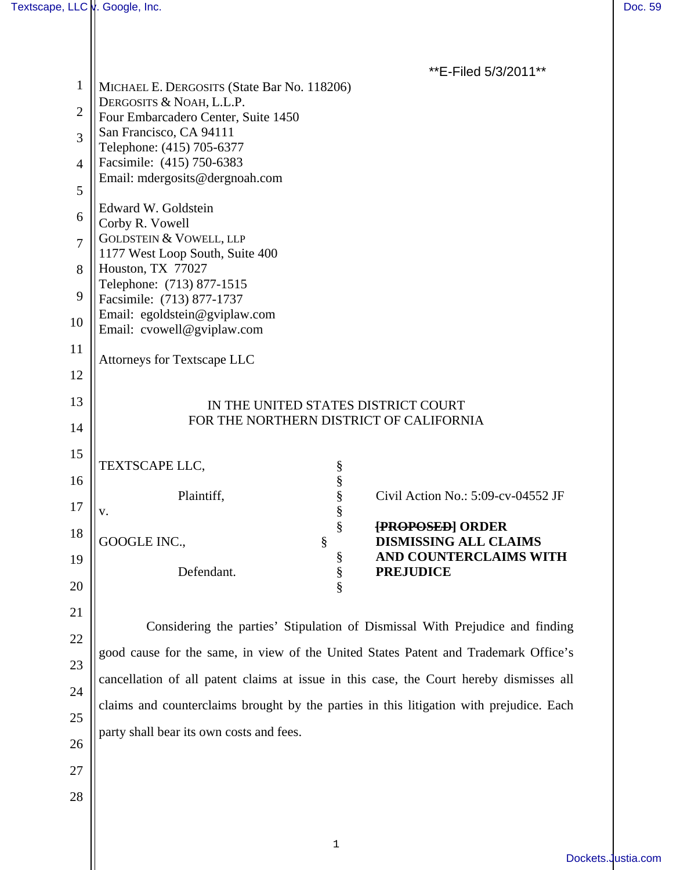| $\mathbf{1}$   | **E-Filed 5/3/2011**<br>MICHAEL E. DERGOSITS (State Bar No. 118206)                     |
|----------------|-----------------------------------------------------------------------------------------|
| $\overline{2}$ | DERGOSITS & NOAH, L.L.P.<br>Four Embarcadero Center, Suite 1450                         |
| 3              | San Francisco, CA 94111<br>Telephone: (415) 705-6377                                    |
| $\overline{4}$ | Facsimile: (415) 750-6383<br>Email: mdergosits@dergnoah.com                             |
| 5              |                                                                                         |
| 6              | Edward W. Goldstein<br>Corby R. Vowell                                                  |
| $\overline{7}$ | <b>GOLDSTEIN &amp; VOWELL, LLP</b>                                                      |
| 8              | 1177 West Loop South, Suite 400<br>Houston, TX 77027                                    |
| 9              | Telephone: (713) 877-1515<br>Facsimile: (713) 877-1737                                  |
| 10             | Email: egoldstein@gviplaw.com                                                           |
| 11             | Email: cvowell@gviplaw.com                                                              |
| 12             | <b>Attorneys for Textscape LLC</b>                                                      |
| 13             |                                                                                         |
|                | IN THE UNITED STATES DISTRICT COURT<br>FOR THE NORTHERN DISTRICT OF CALIFORNIA          |
| 14             |                                                                                         |
| 15             | TEXTSCAPE LLC,<br>$\S$                                                                  |
| 16             | $\frac{\S}{\S}$<br>Plaintiff,<br>Civil Action No.: 5:09-cv-04552 JF                     |
| 17             | §<br>${\bf V}$ .<br>§<br><b>{PROPOSED}</b> ORDER                                        |
| 18             | GOOGLE INC.,<br>§<br>DISMISSING ALL CLAIMS                                              |
| 19             | AND COUNTERCLAIMS WITH<br>§<br>§<br>Defendant.<br><b>PREJUDICE</b>                      |
| 20             |                                                                                         |
| 21             |                                                                                         |
| 22             | Considering the parties' Stipulation of Dismissal With Prejudice and finding            |
| 23             | good cause for the same, in view of the United States Patent and Trademark Office's     |
| 24             | cancellation of all patent claims at issue in this case, the Court hereby dismisses all |
| 25             | claims and counterclaims brought by the parties in this litigation with prejudice. Each |
| 26             | party shall bear its own costs and fees.                                                |
| 27             |                                                                                         |
| 28             |                                                                                         |